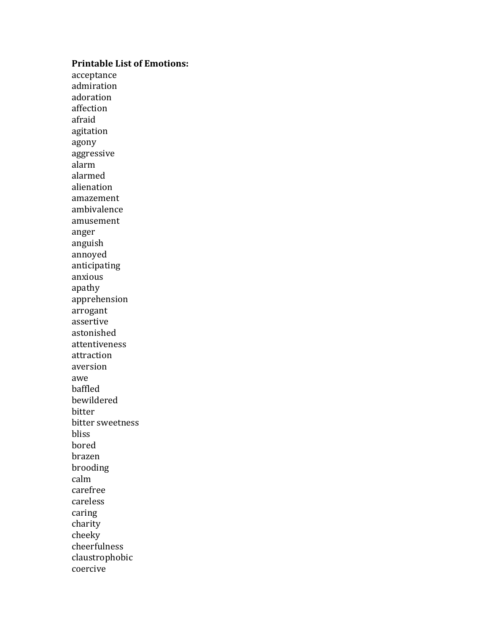## **Printable List of Emotions:**

acceptance admiration adoration affection afraid agitation agony aggressive alarm alarmed alienation amazement ambivalence amusement anger anguish annoyed anticipating anxious apathy apprehension arrogant assertive astonished attentiveness attraction aversion awe baffled bewildered bitter bitter sweetness bliss bored brazen brooding calm carefree careless caring charity cheeky cheerfulness claustrophobic coercive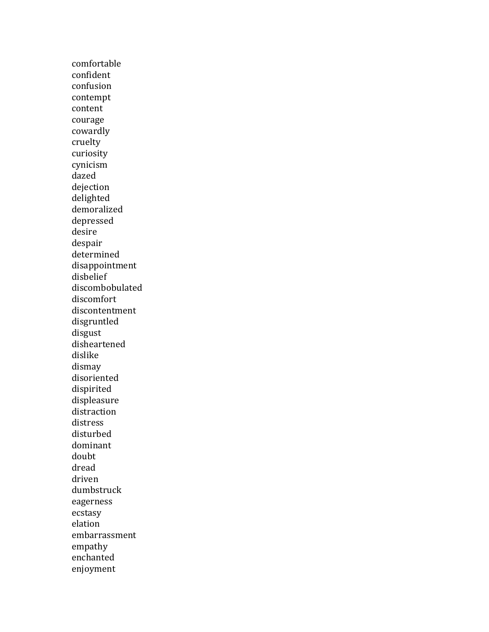comfortable confident confusion contempt content courage cowardly cruelty curiosity cynicism dazed dejection delighted demoralized depressed desire despair determined disappointment disbelief discombobulated discomfort discontentment disgruntled disgust disheartened dislike dismay disoriented dispirited displeasure distraction distress disturbed dominant doubt dread driven dumbstruck eagerness ecstasy elation embarrassment empathy enchanted enjoyment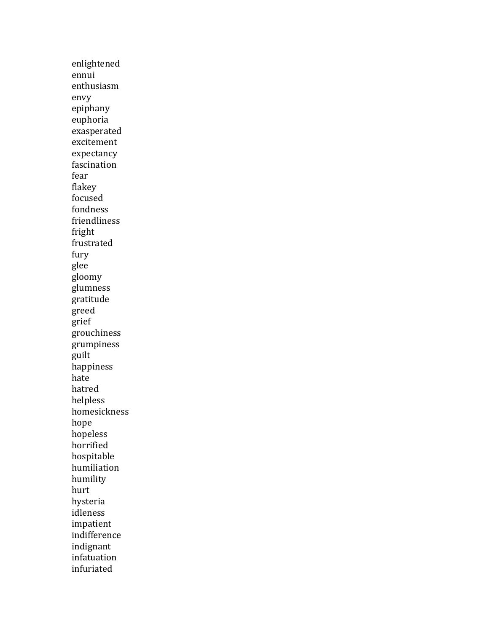enlightened ennui enthusiasm envy epiphany euphoria exasperated excitement expectancy fascination fear flakey focused fondness friendliness fright frustrated fury glee gloomy glumness gratitude greed grief grouchiness grumpiness guilt happiness hate hatred helpless homesickness hope hopeless horrified hospitable humiliation humility hurt hysteria idleness impatient indifference indignant infatuation infuriated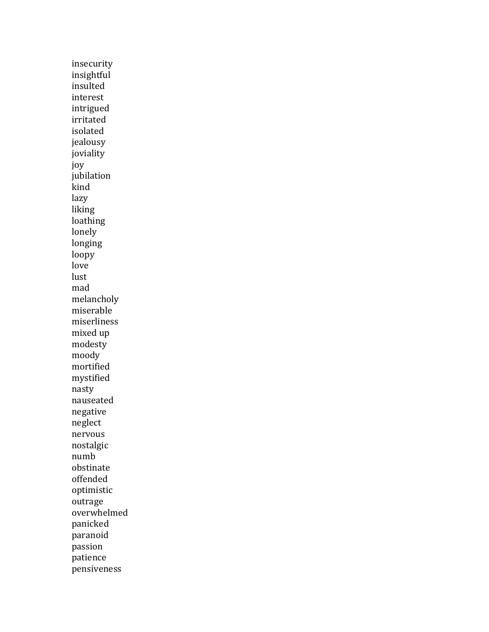insecurity insightful insulted interest intrigued irritated isolated jealousy joviality joy jubilation kind lazy liking loathing lonely longing loopy love lust mad melancholy miserable miserliness mixed up modesty moody mortified mystified nasty nauseated negative neglect nervous nostalgic numb obstinate offended optimistic outrage overwhelmed panicked paranoid passion patience pensiveness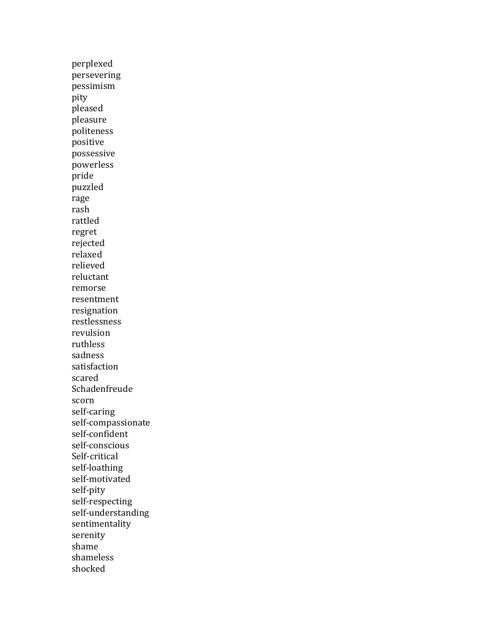perplexed persevering pessimism pity pleased pleasure politeness positive possessive powerless pride puzzled rage rash rattled regret rejected relaxed relieved reluctant remorse resentment resignation restlessness revulsion ruthless sadness satisfaction scared Schadenfreude scorn self-caring self-compassionate self-confident self-conscious Self-critical self-loathing self-motivated self-pity self-respecting self-understanding sentimentality serenity shame shameless shocked